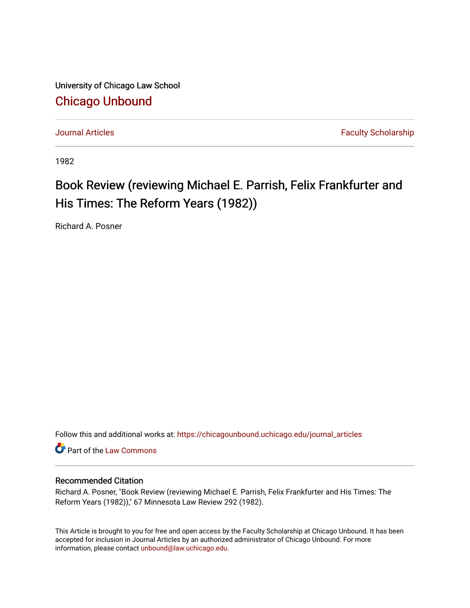University of Chicago Law School [Chicago Unbound](https://chicagounbound.uchicago.edu/)

[Journal Articles](https://chicagounbound.uchicago.edu/journal_articles) **Faculty Scholarship Journal Articles** 

1982

## Book Review (reviewing Michael E. Parrish, Felix Frankfurter and His Times: The Reform Years (1982))

Richard A. Posner

Follow this and additional works at: [https://chicagounbound.uchicago.edu/journal\\_articles](https://chicagounbound.uchicago.edu/journal_articles?utm_source=chicagounbound.uchicago.edu%2Fjournal_articles%2F3024&utm_medium=PDF&utm_campaign=PDFCoverPages) 

Part of the [Law Commons](http://network.bepress.com/hgg/discipline/578?utm_source=chicagounbound.uchicago.edu%2Fjournal_articles%2F3024&utm_medium=PDF&utm_campaign=PDFCoverPages)

## Recommended Citation

Richard A. Posner, "Book Review (reviewing Michael E. Parrish, Felix Frankfurter and His Times: The Reform Years (1982))," 67 Minnesota Law Review 292 (1982).

This Article is brought to you for free and open access by the Faculty Scholarship at Chicago Unbound. It has been accepted for inclusion in Journal Articles by an authorized administrator of Chicago Unbound. For more information, please contact [unbound@law.uchicago.edu](mailto:unbound@law.uchicago.edu).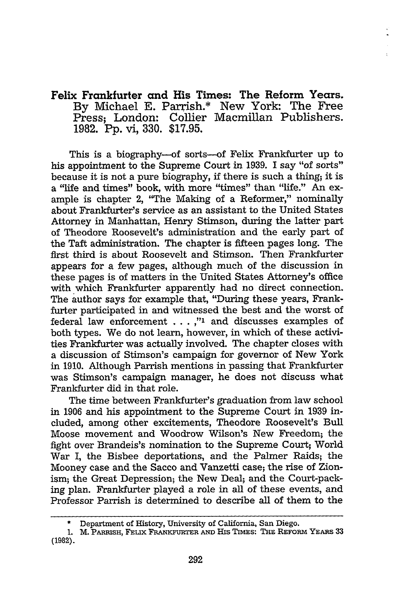## Felix Frankfurter and His Times: The Reform Years. By Michael **E.** Parrish.\* New York: The Free Press; London: **Collier** Macmillan Publishers. **1982. Pp.** vi, **330. \$17.95.**

This is a biography-of sorts--of Felix Frankfurter up to his appointment to the Supreme Court in 1939. I say "of sorts" because it is not a pure biography, if there is such a thing; it is a "life and times" book, with more "times" than "life." An example is chapter 2, "The Making of a Reformer," nominally about Frankfurter's service as an assistant to the United States Attorney in Manhattan, Henry Stimson, during the latter part of Theodore Roosevelt's administration and the early part of the Taft administration. The chapter is fifteen pages long. The first third is about Roosevelt and Stimson. Then Frankfurter appears for a few pages, although much of the discussion in these pages is of matters in the United States Attorney's office with which Frankfurter apparently had no direct connection. The author says for example that, "During these years, Frankfurter participated in and witnessed the best and the worst of federal law enforcement . **.** . **,"1** and discusses examples of both types. We do not learn, however, in which of these activities Frankfurter was actually involved. The chapter closes with a discussion of Stimson's campaign for governor of New York in 1910. Although Parrish mentions in passing that Frankfurter was Stimson's campaign manager, he does not discuss what Frankfurter did in that role.

The time between Frankfurter's graduation from law school in 1906 and his appointment to the Supreme Court in 1939 included, among other excitements, Theodore Roosevelt's Bull Moose movement and Woodrow Wilson's New Freedom; the fight over Brandeis's nomination to the Supreme Court; World War I, the Bisbee deportations, and the Palmer Raids; the Mooney case and the Sacco and Vanzetti case; the rise of Zionism; the Great Depression; the New Deal; and the Court-packing plan. Frankfurter played a role in all of these events, and Professor Parrish is determined to describe all of them to the

Department of History, University of California, San Diego.

<sup>1.</sup> M. PARRISH, FELIX FRANKFURTER AND HIS TIMES: THE REFORM YEARS 33 (1982).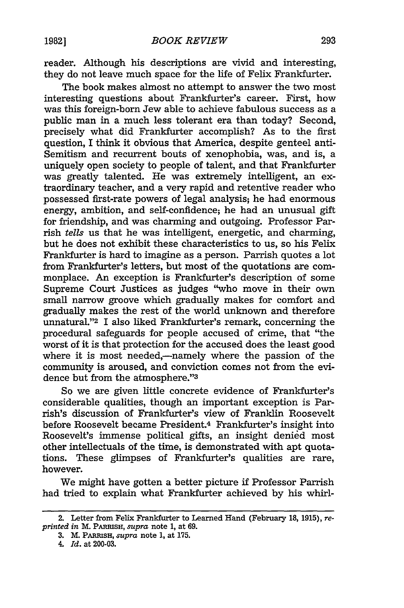reader. Although his descriptions are vivid and interesting, they do not leave much space for the life of Felix Frankfurter.

The book makes almost no attempt to answer the two most interesting questions about Frankfurter's career. First, how was this foreign-born Jew able to achieve fabulous success as a public man in a much less tolerant era than today? Second, precisely what did Frankfurter accomplish? As to the first question, I think it obvious that America, despite genteel anti-Semitism and recurrent bouts of xenophobia, was, and is, a uniquely open society to people of talent, and that Frankfurter was greatly talented. He was extremely intelligent, an extraordinary teacher, and a very rapid and retentive reader who possessed first-rate powers of legal analysis; he had enormous energy, ambition, and self-confidence; he had an unusual gift for friendship, and was charming and outgoing. Professor Parrish *tells* us that he was intelligent, energetic, and charming, but he does not exhibit these characteristics to us, so his Felix Frankfurter is hard to imagine as a person. Parrish quotes a lot from Frankfurter's letters, but most of the quotations are commonplace. An exception is Frankfurter's description of some Supreme Court Justices as judges "who move in their own small narrow groove which gradually makes for comfort and gradually makes the rest of the world unknown and therefore unnatural."<sup>2</sup> I also liked Frankfurter's remark, concerning the procedural safeguards for people accused of crime, that "the worst of it is that protection for the accused does the least good where it is most needed,—namely where the passion of the community is aroused, and conviction comes not from the evidence but from the atmosphere."3

So we are given little concrete evidence of Frankfurter's considerable qualities, though an important exception is Parrish's discussion of Frankfurter's view of Franklin Roosevelt before Roosevelt became President.4 Frankfurter's insight into Roosevelt's immense political gifts, an insight denied most other intellectuals of the time, is demonstrated with apt quotations. These glimpses of Frankfurter's qualities are rare, however.

We might have gotten a better picture if Professor Parrish had tried to explain what Frankfurter achieved by his whirl-

<sup>2.</sup> Letter from Felix Frankfurter to Learned Hand (February 18, 1915), *reprinted in* M. PARRISH, *supra* note 1, at 69.

**<sup>3.</sup>** M. **PARRISH,** *supra* note 1, at 175.

<sup>4.</sup> *Id.* at 200-03.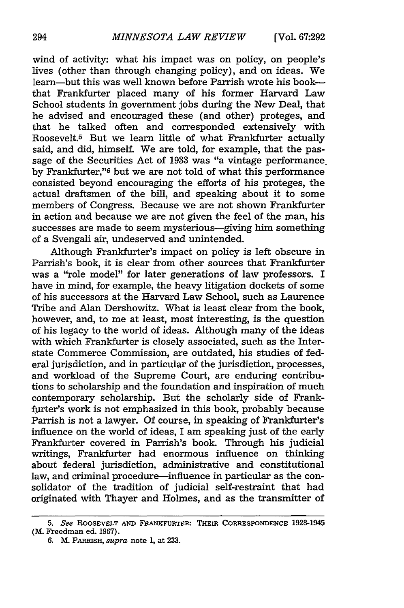wind of activity: what his impact was on policy, on people's lives (other than through changing policy), and on ideas. We learn—but this was well known before Parrish wrote his book that Frankfurter placed many of his former Harvard Law School students in government jobs during the New Deal, that he advised and encouraged these (and other) proteges, and that he talked often and corresponded extensively with Roosevelt.5 But we learn little of what Frankfurter actually said, and did, himself. We are told, for example, that the passage of the Securities Act of 1933 was "a vintage performance. by Frankfurter,"6 but we are not told of what this performance consisted beyond encouraging the efforts of his proteges, the actual draftsmen of the bill, and speaking about it to some members of Congress. Because we are not shown Frankfurter in action and because we are not given the feel of the man, his successes are made to seem mysterious-giving him something of a Svengali air, undeserved and unintended.

Although Frankfurter's impact on policy is left obscure in Parrish's book, it is clear from other sources that Frankfurter was a "role model" for later generations of law professors. I have in mind, for example, the heavy litigation dockets of some of his successors at the Harvard Law School, such as Laurence Tribe and Alan Dershowitz. What is least clear from the book, however, and, to me at least, most interesting, is the question of his legacy to the world of ideas. Although many of the ideas with which Frankfurter is closely associated, such as the Interstate Commerce Commission, are outdated, his studies of federal jurisdiction, and in particular of the jurisdiction, processes, and workload of the Supreme Court, are enduring contributions to scholarship and the foundation and inspiration of much contemporary scholarship. But the scholarly side of Frankfurter's work is not emphasized in this book, probably because Parrish is not a lawyer. Of course, in speaking of Frankfurter's influence on the world of ideas, I am speaking just of the early Frankfurter covered in Parrish's book. Through his judicial writings, Frankfurter had enormous influence on thinking about federal jurisdiction, administrative and constitutional law, and criminal procedure—influence in particular as the consolidator of the tradition of judicial self-restraint that had originated with Thayer and Holmes, and as the transmitter of

*<sup>5.</sup> See* **ROOSEVELT AND** FRANKFURTER: **THEM CORRESPONDENCE** 1928-1945 (M. Freedman ed. 1967).

*<sup>6.</sup>* M. PAmusH, *supra* note 1, at 233.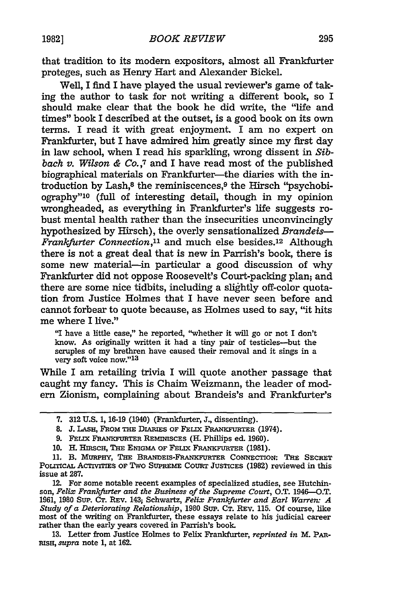that tradition to its modern expositors, almost all Frankfurter proteges, such as Henry Hart and Alexander Bickel.

Well, I find I have played the usual reviewer's game of taking the author to task for not writing a different book, so I should make clear that the book he did write, the "life and times" book I described at the outset, is a good book on its own terms. I read it with great enjoyment. I am no expert on Frankfurter, but I have admired him greatly since my first day in law school, when I read his sparkling, wrong dissent in *Sibbach v. Wilson & Co.,7* and I have read most of the published biographical materials on Frankfurter-the diaries with the introduction by Lash,<sup>8</sup> the reminiscences,<sup>9</sup> the Hirsch "psychobiography"1o (full of interesting detail, though in my opinion wrongheaded, as everything in Frankfurter's life suggests robust mental health rather than the insecurities unconvincingly hypothesized by Hirsch), the overly sensationalized *Brandeis-Frankfurter Connection,"'* and much else besides.12 Although there is not a great deal that is new in Parrish's book, there is some new material-in particular a good discussion of why Frankfurter did not oppose Roosevelt's Court-packing plan; and there are some nice tidbits, including a slightly off-color quotation from Justice Holmes that I have never seen before and cannot forbear to quote because, as Holmes used to say, "it hits me where I live."

"I have a little case," he reported, "whether it will go or not I don't know. As originally written it had a tiny pair of testicles-but the scruples of my brethren have caused their removal and it sings in a very soft voice now."13

While I am retailing trivia I will quote another passage that caught my fancy. This is Chaim Weizmann, the leader of mod**ern** Zionism, complaining about Brandeis's and Frankfurter's

12. For some notable recent examples of specialized studies, see Hutchinson, *Felix Frankfurter and the Business of the Supreme Court,* O.T. 1946-O.T. **1961, 1980** SuP. **CT.** REV. 143; Schwartz, *Felix Frankfurter and Earl Warren: A Study of a Deteriorating Relationship,* **1980** SuP. **CT.** REv. **115.** Of course, like most of the writing on Frankfurter, these essays relate to his judicial career rather than the early years covered in Parrish's book.

**13.** Letter from Justice Holmes to Felix Frankfurter, *reprinted in* M. *PAR-*RiSH, *supra* note 1, at 162.

**<sup>7. 312</sup> U.S. 1, 16-19** (1940) (Frankfurter, **J.,** dissenting).

<sup>8.</sup> **J.** LAsn, FROM THE DIARIES OF FELIX FRANKFURTER (1974).

<sup>9.</sup> FELIX FRANKFURTER **REMINISCES** (H. Phillips ed. 1960).

<sup>10.</sup> **H.** HIRScH, THE **ENIGMA** OF FELIX FRANKFURTER **(1981).**

**<sup>11.</sup>** B. MURPHY, THE BRANDEIS-FRANKFURTER CONNECTION: THE SECRET PoLricAL AcTms OF TWO SUPREME COURT **JUSTICES (1982)** reviewed in this issue at 287.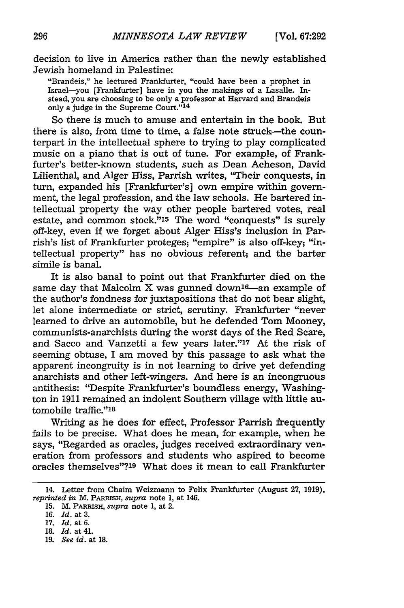decision to live in America rather than the newly established Jewish homeland in Palestine:

"Brandeis," he lectured Frankfurter, "could have been a prophet in Israel-you [Frankfurter] have in you the makings of a Lasalle. Instead, you are choosing to be only a professor at Harvard and Brandeis only a judge in the Supreme Court."<sup>14</sup>

So there is much to amuse and entertain in the book. But there is also, from time to time, a false note struck-the counterpart in the intellectual sphere to trying to play complicated music on a piano that is out of tune. For example, of Frankfurter's better-known students, such as Dean Acheson, David Lilienthal, and Alger Hiss, Parrish writes, "Their conquests, in turn, expanded his [Frankfurter's] own empire within government, the legal profession, and the law schools. He bartered intellectual property the way other people bartered votes, real estate, and common stock."15 The word "conquests" is surely off-key, even if we forget about Alger Hiss's inclusion in Parrish's list of Frankfurter proteges; "empire" is also off-key; "intellectual property" has no obvious referent; and the barter simile is banal.

It is also banal to point out that Frankfurter died on the same day that Malcolm  $\overline{X}$  was gunned down<sup>16</sup>-an example of the author's fondness for juxtapositions that do not bear slight, let alone intermediate or strict, scrutiny. Frankfurter "never learned to drive an automobile, but he defended Tom Mooney, communists-anarchists during the worst days of the Red Scare, and Sacco and Vanzetti a few years later."<sup>17</sup> At the risk of seeming obtuse, I am moved by this passage to ask what the apparent incongruity is in not learning to drive yet defending anarchists and other left-wingers. And here is an incongruous antithesis: "Despite Frankfurter's boundless energy, Washington in 1911 remained an indolent Southern village with little automobile traffic."18

Writing as he does for effect, Professor Parrish frequently fails to be precise. What does he mean, for example, when he says, "Regarded as oracles, judges received extraordinary veneration from professors and students who aspired to become oracles themselves"?19 What does it mean to call Frankfurter

<sup>14.</sup> Letter from Chaim Weizmann to Felix Frankfurter (August 27, 1919), *reprinted in* M. PARRIsH, *supra* note 1, at 146.

<sup>15.</sup> M. PARRISH, *supra* note 1, at 2.

<sup>16.</sup> *Id.* at 3.

<sup>17.</sup> *Id.* at 6.

<sup>18.</sup> *Id.* at 41.

<sup>19.</sup> *See id.* at 18.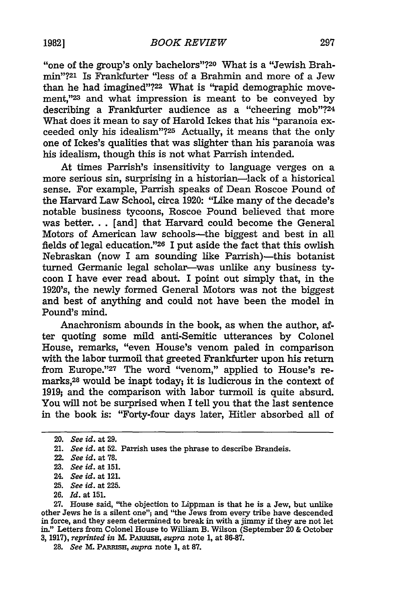"one of the group's only bachelors"?<sup>20</sup> What is a "Jewish Brahmin"?21 Is Frankfurter "less of a Brahmin and more of a Jew than he had imagined"?<sup>22</sup> What is "rapid demographic movement,"23 and what impression is meant to be conveyed by describing a Frankfurter audience as a "cheering mob"?24 What does it mean to say of Harold Ickes that his "paranoia exceeded only his idealism"?<sup>25</sup> Actually, it means that the only one of Ickes's qualities that was slighter than his paranoia was his idealism, though this is not what Parrish intended.

At times Parrish's insensitivity to language verges on a more serious sin, surprising in a historian-lack of a historical sense. For example, Parrish speaks of Dean Roscoe Pound of the Harvard Law School, circa 1920: "Like many of the decade's notable business tycoons, Roscoe Pound believed that more was better. . . [and] that Harvard could become the General Motors of American law schools-the biggest and best in all fields of legal education."26 I put aside the fact that this owlish Nebraskan (now I am sounding like Parrish)-this botanist turned Germanic legal scholar-was unlike any business tycoon I have ever read about. I point out simply that, in the 1920's, the newly formed General Motors was not the biggest and best of anything and could not have been the model in Pound's mind.

Anachronism abounds in the book, as when the author, after quoting some mild anti-Semitic utterances by Colonel House, remarks, "even House's venom paled in comparison with the labor turmoil that greeted Frankfurter upon his return from Europe."27 The word "venom," applied to House's remarks,28 would be inapt today; it is ludicrous in the context of 1919; and the comparison with labor turmoil is quite absurd. You will not be surprised when I tell you that the last sentence in the book is: "Forty-four days later, Hitler absorbed all of

- 25. *See id.* at 225.
- 26. *Id.* at 151.

<sup>20.</sup> *See* **id.** at **29.**

<sup>21.</sup> *See id.* at **52.** Parrish uses the phrase to describe Brandeis.

**<sup>22.</sup>** *See id.* at **78.**

<sup>23.</sup> *See id.* at **151.**

<sup>24.</sup> *See id.* at 121.

<sup>27.</sup> House said, "the objection to Lippman is that he is a Jew, but unlike other Jews he is a silent one"; and "the Jews from every tribe have descended in force, and they seem determined to break in with a jimmy if they are not let in." Letters from Colonel House to William B. Wilson (September 20 & October **3,** 1917), *reprinted in M.* PARIuuSH, *supra* note 1, at 86-87.

<sup>28.</sup> *See* M. PARuSH, *supra* note 1, at 87.